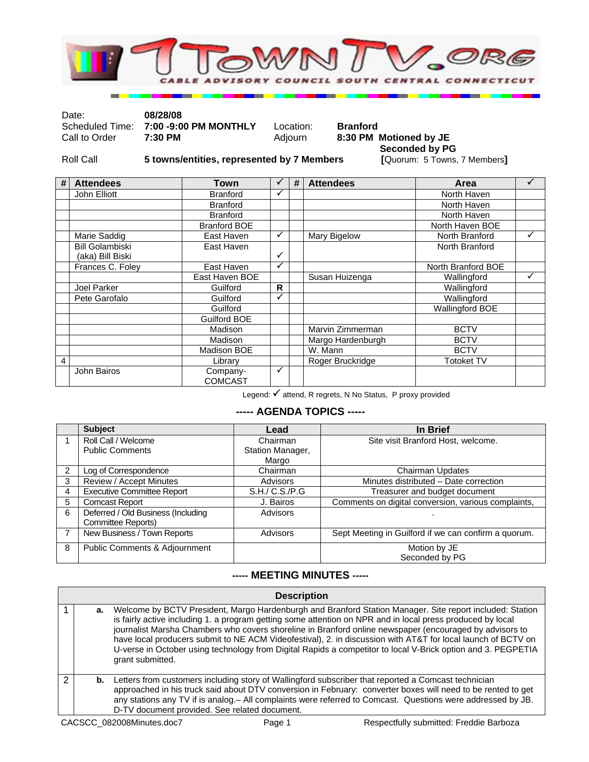

Date: **08/28/08** 

Scheduled Time: **7:00 -9:00 PM MONTHLY** Location: **Branford**<br>Call to Order **7:30 PM Adjourn 8:30 PM** 

8:30 PM Motioned by JE

Roll Call **5 towns/entities, represented by 7 Members** 

**Seconded by PG**<br>[Quorum: 5 Towns, 7 Members]

| # | <b>Attendees</b>       | Town                       | ✓            | # | <b>Attendees</b>  | Area                   |   |
|---|------------------------|----------------------------|--------------|---|-------------------|------------------------|---|
|   | John Elliott           | <b>Branford</b>            | ✓            |   |                   | North Haven            |   |
|   |                        | <b>Branford</b>            |              |   |                   | North Haven            |   |
|   |                        | <b>Branford</b>            |              |   |                   | North Haven            |   |
|   |                        | <b>Branford BOE</b>        |              |   |                   | North Haven BOE        |   |
|   | Marie Saddig           | East Haven                 | ✓            |   | Mary Bigelow      | North Branford         |   |
|   | <b>Bill Golambiski</b> | East Haven                 |              |   |                   | North Branford         |   |
|   | (aka) Bill Biski       |                            | $\checkmark$ |   |                   |                        |   |
|   | Frances C. Foley       | East Haven                 | ✓            |   |                   | North Branford BOE     |   |
|   |                        | East Haven BOE             |              |   | Susan Huizenga    | Wallingford            | ✓ |
|   | Joel Parker            | Guilford                   | R            |   |                   | Wallingford            |   |
|   | Pete Garofalo          | Guilford                   | ✓            |   |                   | Wallingford            |   |
|   |                        | Guilford                   |              |   |                   | <b>Wallingford BOE</b> |   |
|   |                        | Guilford BOE               |              |   |                   |                        |   |
|   |                        | Madison                    |              |   | Marvin Zimmerman  | <b>BCTV</b>            |   |
|   |                        | Madison                    |              |   | Margo Hardenburgh | <b>BCTV</b>            |   |
|   |                        | Madison BOE                |              |   | W. Mann           | <b>BCTV</b>            |   |
| 4 |                        | Library                    |              |   | Roger Bruckridge  | <b>Totoket TV</b>      |   |
|   | John Bairos            | Company-<br><b>COMCAST</b> | ✓            |   |                   |                        |   |

Legend: √ attend, R regrets, N No Status, P proxy provided

## **----- AGENDA TOPICS -----**

|                | <b>Subject</b>                     | Lead             | In Brief                                             |
|----------------|------------------------------------|------------------|------------------------------------------------------|
|                | Roll Call / Welcome                | Chairman         | Site visit Branford Host, welcome.                   |
|                | <b>Public Comments</b>             | Station Manager, |                                                      |
|                |                                    | Margo            |                                                      |
| $\overline{2}$ | Log of Correspondence              | Chairman         | Chairman Updates                                     |
| 3              | Review / Accept Minutes            | Advisors         | Minutes distributed - Date correction                |
| 4              | <b>Executive Committee Report</b>  | S.H./ C.S./P.G   | Treasurer and budget document                        |
| 5              | <b>Comcast Report</b>              | J. Bairos        | Comments on digital conversion, various complaints,  |
| 6              | Deferred / Old Business (Including | Advisors         |                                                      |
|                | Committee Reports)                 |                  |                                                      |
| 7              | New Business / Town Reports        | Advisors         | Sept Meeting in Guilford if we can confirm a quorum. |
| 8              | Public Comments & Adjournment      |                  | Motion by JE                                         |
|                |                                    |                  | Seconded by PG                                       |

## **----- MEETING MINUTES -----**

## **Description**

|   | а. | Welcome by BCTV President, Margo Hardenburgh and Branford Station Manager. Site report included: Station<br>is fairly active including 1. a program getting some attention on NPR and in local press produced by local<br>journalist Marsha Chambers who covers shoreline in Branford online newspaper (encouraged by advisors to<br>have local producers submit to NE ACM Videofestival), 2. in discussion with AT&T for local launch of BCTV on<br>U-verse in October using technology from Digital Rapids a competitor to local V-Brick option and 3. PEGPETIA<br>grant submitted. |
|---|----|---------------------------------------------------------------------------------------------------------------------------------------------------------------------------------------------------------------------------------------------------------------------------------------------------------------------------------------------------------------------------------------------------------------------------------------------------------------------------------------------------------------------------------------------------------------------------------------|
| 2 | b. | Letters from customers including story of Wallingford subscriber that reported a Comcast technician<br>approached in his truck said about DTV conversion in February: converter boxes will need to be rented to get<br>any stations any TV if is analog. – All complaints were referred to Comcast. Questions were addressed by JB.<br>D-TV document provided. See related document.                                                                                                                                                                                                  |